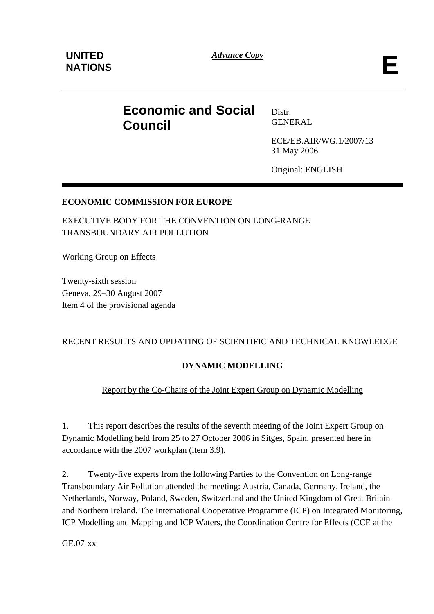*Advance Copy* **E** 

# **Economic and Social Council**

Distr. GENERAL

ECE/EB.AIR/WG.1/2007/13 31 May 2006

Original: ENGLISH

### **ECONOMIC COMMISSION FOR EUROPE**

EXECUTIVE BODY FOR THE CONVENTION ON LONG-RANGE TRANSBOUNDARY AIR POLLUTION

Working Group on Effects

Twenty-sixth session Geneva, 29–30 August 2007 Item 4 of the provisional agenda

### RECENT RESULTS AND UPDATING OF SCIENTIFIC AND TECHNICAL KNOWLEDGE

# **DYNAMIC MODELLING**

### Report by the Co-Chairs of the Joint Expert Group on Dynamic Modelling

1. This report describes the results of the seventh meeting of the Joint Expert Group on Dynamic Modelling held from 25 to 27 October 2006 in Sitges, Spain, presented here in accordance with the 2007 workplan (item 3.9).

2. Twenty-five experts from the following Parties to the Convention on Long-range Transboundary Air Pollution attended the meeting: Austria, Canada, Germany, Ireland, the Netherlands, Norway, Poland, Sweden, Switzerland and the United Kingdom of Great Britain and Northern Ireland. The International Cooperative Programme (ICP) on Integrated Monitoring, ICP Modelling and Mapping and ICP Waters, the Coordination Centre for Effects (CCE at the

GE.07-xx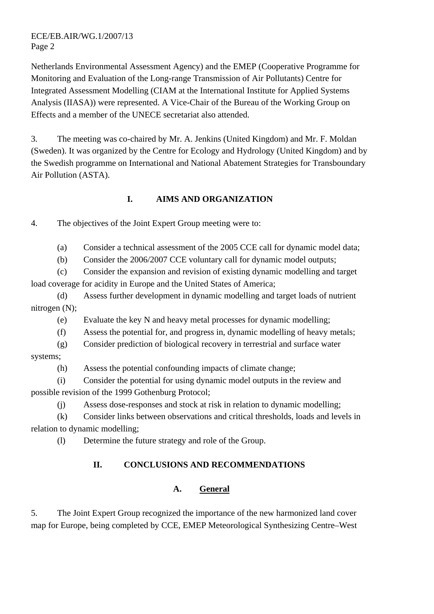#### ECE/EB.AIR/WG.1/2007/13 Page 2

Netherlands Environmental Assessment Agency) and the EMEP (Cooperative Programme for Monitoring and Evaluation of the Long-range Transmission of Air Pollutants) Centre for Integrated Assessment Modelling (CIAM at the International Institute for Applied Systems Analysis (IIASA)) were represented. A Vice-Chair of the Bureau of the Working Group on Effects and a member of the UNECE secretariat also attended.

3. The meeting was co-chaired by Mr. A. Jenkins (United Kingdom) and Mr. F. Moldan (Sweden). It was organized by the Centre for Ecology and Hydrology (United Kingdom) and by the Swedish programme on International and National Abatement Strategies for Transboundary Air Pollution (ASTA).

### **I. AIMS AND ORGANIZATION**

4. The objectives of the Joint Expert Group meeting were to:

(a) Consider a technical assessment of the 2005 CCE call for dynamic model data;

(b) Consider the 2006/2007 CCE voluntary call for dynamic model outputs;

(c) Consider the expansion and revision of existing dynamic modelling and target load coverage for acidity in Europe and the United States of America;

(d) Assess further development in dynamic modelling and target loads of nutrient nitrogen (N);

(e) Evaluate the key N and heavy metal processes for dynamic modelling;

(f) Assess the potential for, and progress in, dynamic modelling of heavy metals;

(g) Consider prediction of biological recovery in terrestrial and surface water systems;

(h) Assess the potential confounding impacts of climate change;

(i) Consider the potential for using dynamic model outputs in the review and possible revision of the 1999 Gothenburg Protocol;

(j) Assess dose-responses and stock at risk in relation to dynamic modelling;

(k) Consider links between observations and critical thresholds, loads and levels in relation to dynamic modelling;

(l) Determine the future strategy and role of the Group.

# **II. CONCLUSIONS AND RECOMMENDATIONS**

# **A. General**

5. The Joint Expert Group recognized the importance of the new harmonized land cover map for Europe, being completed by CCE, EMEP Meteorological Synthesizing Centre–West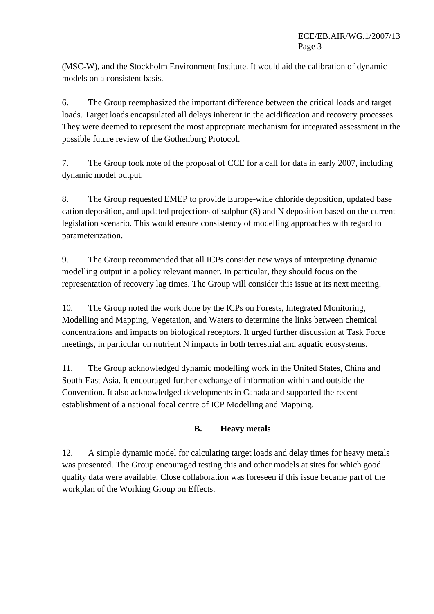(MSC-W), and the Stockholm Environment Institute. It would aid the calibration of dynamic models on a consistent basis.

6. The Group reemphasized the important difference between the critical loads and target loads. Target loads encapsulated all delays inherent in the acidification and recovery processes. They were deemed to represent the most appropriate mechanism for integrated assessment in the possible future review of the Gothenburg Protocol.

7. The Group took note of the proposal of CCE for a call for data in early 2007, including dynamic model output.

8. The Group requested EMEP to provide Europe-wide chloride deposition, updated base cation deposition, and updated projections of sulphur (S) and N deposition based on the current legislation scenario. This would ensure consistency of modelling approaches with regard to parameterization.

9. The Group recommended that all ICPs consider new ways of interpreting dynamic modelling output in a policy relevant manner. In particular, they should focus on the representation of recovery lag times. The Group will consider this issue at its next meeting.

10. The Group noted the work done by the ICPs on Forests, Integrated Monitoring, Modelling and Mapping, Vegetation, and Waters to determine the links between chemical concentrations and impacts on biological receptors. It urged further discussion at Task Force meetings, in particular on nutrient N impacts in both terrestrial and aquatic ecosystems.

11. The Group acknowledged dynamic modelling work in the United States, China and South-East Asia. It encouraged further exchange of information within and outside the Convention. It also acknowledged developments in Canada and supported the recent establishment of a national focal centre of ICP Modelling and Mapping.

# **B. Heavy metals**

12. A simple dynamic model for calculating target loads and delay times for heavy metals was presented. The Group encouraged testing this and other models at sites for which good quality data were available. Close collaboration was foreseen if this issue became part of the workplan of the Working Group on Effects.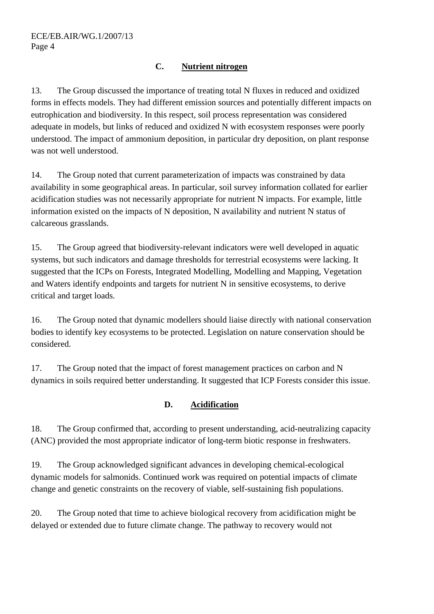### **C. Nutrient nitrogen**

13. The Group discussed the importance of treating total N fluxes in reduced and oxidized forms in effects models. They had different emission sources and potentially different impacts on eutrophication and biodiversity. In this respect, soil process representation was considered adequate in models, but links of reduced and oxidized N with ecosystem responses were poorly understood. The impact of ammonium deposition, in particular dry deposition, on plant response was not well understood.

14. The Group noted that current parameterization of impacts was constrained by data availability in some geographical areas. In particular, soil survey information collated for earlier acidification studies was not necessarily appropriate for nutrient N impacts. For example, little information existed on the impacts of N deposition, N availability and nutrient N status of calcareous grasslands.

15. The Group agreed that biodiversity-relevant indicators were well developed in aquatic systems, but such indicators and damage thresholds for terrestrial ecosystems were lacking. It suggested that the ICPs on Forests, Integrated Modelling, Modelling and Mapping, Vegetation and Waters identify endpoints and targets for nutrient N in sensitive ecosystems, to derive critical and target loads.

16. The Group noted that dynamic modellers should liaise directly with national conservation bodies to identify key ecosystems to be protected. Legislation on nature conservation should be considered.

17. The Group noted that the impact of forest management practices on carbon and N dynamics in soils required better understanding. It suggested that ICP Forests consider this issue.

### **D. Acidification**

18. The Group confirmed that, according to present understanding, acid-neutralizing capacity (ANC) provided the most appropriate indicator of long-term biotic response in freshwaters.

19. The Group acknowledged significant advances in developing chemical-ecological dynamic models for salmonids. Continued work was required on potential impacts of climate change and genetic constraints on the recovery of viable, self-sustaining fish populations.

20. The Group noted that time to achieve biological recovery from acidification might be delayed or extended due to future climate change. The pathway to recovery would not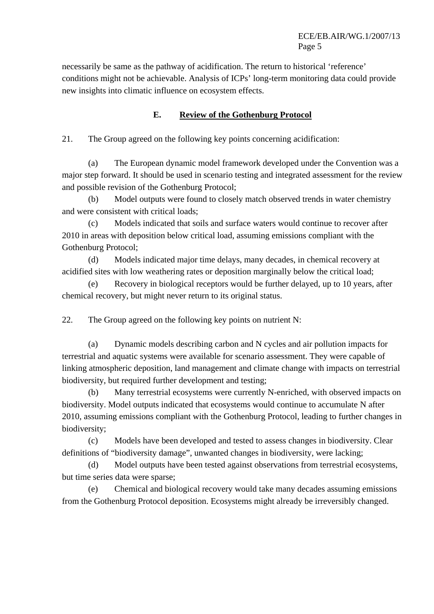#### ECE/EB.AIR/WG.1/2007/13 Page 5

necessarily be same as the pathway of acidification. The return to historical 'reference' conditions might not be achievable. Analysis of ICPs' long-term monitoring data could provide new insights into climatic influence on ecosystem effects.

### **E. Review of the Gothenburg Protocol**

21. The Group agreed on the following key points concerning acidification:

(a) The European dynamic model framework developed under the Convention was a major step forward. It should be used in scenario testing and integrated assessment for the review and possible revision of the Gothenburg Protocol;

(b) Model outputs were found to closely match observed trends in water chemistry and were consistent with critical loads;

(c) Models indicated that soils and surface waters would continue to recover after 2010 in areas with deposition below critical load, assuming emissions compliant with the Gothenburg Protocol;

(d) Models indicated major time delays, many decades, in chemical recovery at acidified sites with low weathering rates or deposition marginally below the critical load;

(e) Recovery in biological receptors would be further delayed, up to 10 years, after chemical recovery, but might never return to its original status.

22. The Group agreed on the following key points on nutrient N:

(a) Dynamic models describing carbon and N cycles and air pollution impacts for terrestrial and aquatic systems were available for scenario assessment. They were capable of linking atmospheric deposition, land management and climate change with impacts on terrestrial biodiversity, but required further development and testing;

(b) Many terrestrial ecosystems were currently N-enriched, with observed impacts on biodiversity. Model outputs indicated that ecosystems would continue to accumulate N after 2010, assuming emissions compliant with the Gothenburg Protocol, leading to further changes in biodiversity;

(c) Models have been developed and tested to assess changes in biodiversity. Clear definitions of "biodiversity damage", unwanted changes in biodiversity, were lacking;

(d) Model outputs have been tested against observations from terrestrial ecosystems, but time series data were sparse;

(e) Chemical and biological recovery would take many decades assuming emissions from the Gothenburg Protocol deposition. Ecosystems might already be irreversibly changed.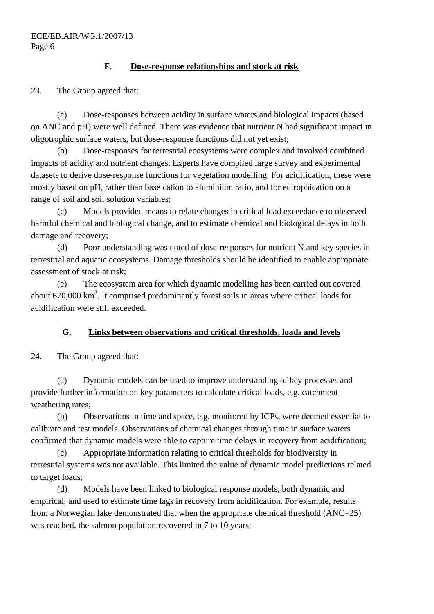### **F. Dose-response relationships and stock at risk**

23. The Group agreed that:

(a) Dose-responses between acidity in surface waters and biological impacts (based on ANC and pH) were well defined. There was evidence that nutrient N had significant impact in oligotrophic surface waters, but dose-response functions did not yet exist;

(b) Dose-responses for terrestrial ecosystems were complex and involved combined impacts of acidity and nutrient changes. Experts have compiled large survey and experimental datasets to derive dose-response functions for vegetation modelling. For acidification, these were mostly based on pH, rather than base cation to aluminium ratio, and for eutrophication on a range of soil and soil solution variables;

(c) Models provided means to relate changes in critical load exceedance to observed harmful chemical and biological change, and to estimate chemical and biological delays in both damage and recovery;

(d) Poor understanding was noted of dose-responses for nutrient N and key species in terrestrial and aquatic ecosystems. Damage thresholds should be identified to enable appropriate assessment of stock at risk;

(e) The ecosystem area for which dynamic modelling has been carried out covered about  $670,000 \text{ km}^2$ . It comprised predominantly forest soils in areas where critical loads for acidification were still exceeded.

### **G. Links between observations and critical thresholds, loads and levels**

24. The Group agreed that:

(a) Dynamic models can be used to improve understanding of key processes and provide further information on key parameters to calculate critical loads, e.g. catchment weathering rates;

(b) Observations in time and space, e.g. monitored by ICPs, were deemed essential to calibrate and test models. Observations of chemical changes through time in surface waters confirmed that dynamic models were able to capture time delays in recovery from acidification;

(c) Appropriate information relating to critical thresholds for biodiversity in terrestrial systems was not available. This limited the value of dynamic model predictions related to target loads;

(d) Models have been linked to biological response models, both dynamic and empirical, and used to estimate time lags in recovery from acidification. For example, results from a Norwegian lake demonstrated that when the appropriate chemical threshold (ANC=25) was reached, the salmon population recovered in 7 to 10 years;